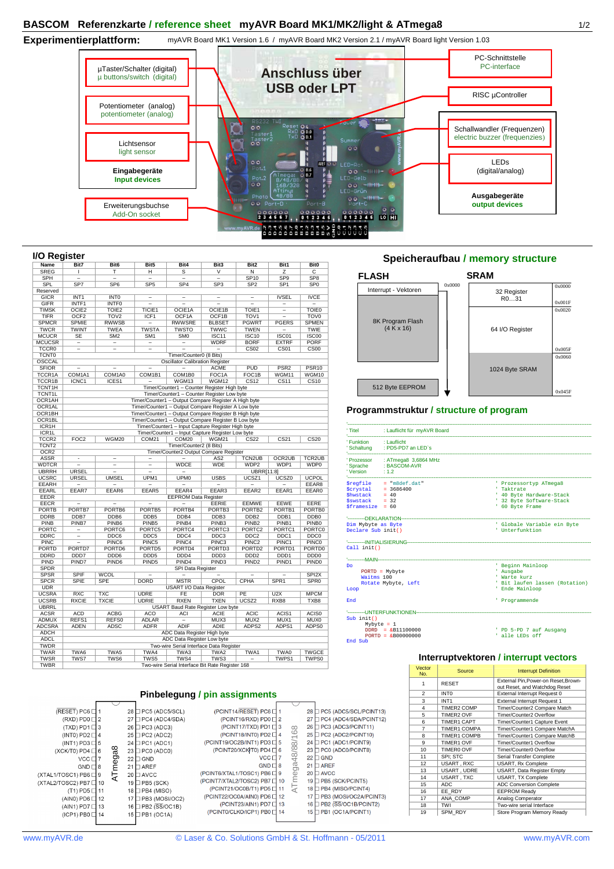**Experimentierplattform:**  myAVR Board MK1 Version 1.6 / myAVR Board MK2 Version 2.1 / myAVR Board light Version 1.03



#### **I/O Register**

| "<br>o nogiotor    |                          |                                  |                          |                                                                       |                          |                          |                          |                   | opeicriera                                |
|--------------------|--------------------------|----------------------------------|--------------------------|-----------------------------------------------------------------------|--------------------------|--------------------------|--------------------------|-------------------|-------------------------------------------|
| Name               | Bit7                     | Bit <sub>6</sub>                 | Bit5                     | Bit4                                                                  | Bit3                     | Bit2                     | Bit1                     | Bit <sub>0</sub>  |                                           |
| <b>SREG</b>        | T.                       | т                                | н                        | s                                                                     | $\overline{\mathsf{v}}$  | $\overline{\mathsf{N}}$  | $\overline{z}$           | $\overline{c}$    |                                           |
| <b>SPH</b>         | $\overline{\phantom{a}}$ | $\overline{a}$                   | $\overline{\phantom{0}}$ | $\overline{\phantom{0}}$                                              | $\overline{\phantom{a}}$ | <b>SP10</b>              | SP <sub>9</sub>          | SP <sub>8</sub>   | <b>FLASH</b>                              |
| <b>SPL</b>         | SP <sub>7</sub>          | SP <sub>6</sub>                  | SP <sub>5</sub>          | SP <sub>4</sub>                                                       | SP <sub>3</sub>          | SP <sub>2</sub>          | SP <sub>1</sub>          | SP <sub>0</sub>   |                                           |
| Reserved           | Interrupt - Vektoren     |                                  |                          |                                                                       |                          |                          |                          |                   |                                           |
| <b>GICR</b>        | INT <sub>1</sub>         | <b>INTO</b>                      | $\overline{\phantom{0}}$ | $\overline{\phantom{a}}$                                              | $\overline{\phantom{m}}$ | $\overline{a}$           | <b>IVSEL</b>             | <b>IVCE</b>       |                                           |
| GIFR               | INTF1                    | <b>INTFO</b>                     | $\overline{a}$           | $\overline{a}$                                                        | $\overline{a}$           | $\overline{a}$           | $\overline{a}$           | $\overline{a}$    |                                           |
| <b>TIMSK</b>       | OCIE <sub>2</sub>        | TOIE <sub>2</sub>                | TICIE1                   | OCIE1A                                                                | OCIE1B                   | TOIE1                    | $\overline{\phantom{0}}$ | <b>TOIE0</b>      |                                           |
| TIFR               | OCF <sub>2</sub>         | TOV <sub>2</sub>                 | ICF1                     | OCF1A                                                                 | OCF1B                    | TOV <sub>1</sub>         | Ξ                        | TOV <sub>0</sub>  |                                           |
| <b>SPMCR</b>       | <b>SPMIE</b>             | <b>RWWSB</b>                     |                          | <b>RWWSRE</b>                                                         | <b>BLBSET</b>            | <b>PGWRT</b>             | <b>PGERS</b>             | <b>SPMEN</b>      | 8K Program Flash                          |
| <b>TWCR</b>        | <b>TWINT</b>             | <b>TWEA</b>                      | <b>TWSTA</b>             | <b>TWSTO</b>                                                          | <b>TWWC</b>              | <b>TWEN</b>              | $\overline{a}$           | <b>TWIE</b>       | (4 K x 16)                                |
| <b>MCUCR</b>       | <b>SE</b>                | SM <sub>2</sub>                  | SM <sub>1</sub>          | <b>SMO</b>                                                            | ISC11                    | <b>ISC10</b>             | ISC01                    | <b>ISC00</b>      |                                           |
| <b>MCUCSR</b>      | $\overline{\phantom{a}}$ | $\equiv$                         |                          |                                                                       | <b>WDRF</b>              | <b>BORF</b>              | <b>EXTRF</b>             | <b>PORF</b>       |                                           |
| TCCR <sub>0</sub>  | $\overline{a}$           | $\overline{a}$                   | $\overline{\phantom{0}}$ |                                                                       | $\overline{a}$           | CS <sub>02</sub>         | CS <sub>01</sub>         | CS <sub>00</sub>  |                                           |
| <b>TCNT0</b>       |                          |                                  |                          | Timer/Counter0 (8 Bits)                                               |                          |                          |                          |                   |                                           |
| OSCCAL             |                          |                                  |                          | <b>Oscillator Calibration Register</b>                                |                          |                          |                          |                   |                                           |
| <b>SFIOR</b>       |                          |                                  |                          |                                                                       | <b>ACME</b>              | PUD                      | PSR <sub>2</sub>         | PSR <sub>10</sub> |                                           |
| TCCR1A             | COM1A1                   | COM1A0                           | COM1B1                   | COM1B0                                                                | FOC1A                    | FOC <sub>1</sub> B       | WGM11                    | WGM10             |                                           |
| TCCR1B             | ICNC1                    | ICES1                            |                          | WGM13                                                                 | WGM12                    | <b>CS12</b>              | CS11                     | <b>CS10</b>       |                                           |
| TCNT1H             |                          |                                  |                          | Timer/Counter1 - Counter Register High byte                           |                          |                          |                          |                   | 512 Byte EEPROM                           |
| <b>TCNT1L</b>      |                          |                                  |                          | Timer/Counter1 - Counter Register Low byte                            |                          |                          |                          |                   |                                           |
| OCR1AH             |                          |                                  |                          | Timer/Counter1 - Output Compare Register A High byte                  |                          |                          |                          |                   |                                           |
| OCR1AL             |                          |                                  |                          | Timer/Counter1 - Output Compare Register A Low byte                   |                          |                          |                          |                   |                                           |
| OCR1BH             |                          |                                  |                          | Timer/Counter1 - Output Compare Register B High byte                  |                          |                          |                          |                   | Programmstruktur /                        |
| OCR1BL             |                          |                                  |                          | Timer/Counter1 - Output Compare Register B Low byte                   |                          |                          |                          |                   |                                           |
| ICR1H              |                          |                                  |                          | Timer/Counter1 - Input Capture Register High byte                     |                          |                          |                          |                   |                                           |
| ICR <sub>1</sub> L |                          |                                  |                          |                                                                       |                          |                          |                          |                   | : Lauflicht für myAVF<br>' Titel          |
| TCCR <sub>2</sub>  | FOC <sub>2</sub>         | WGM20                            | COM <sub>21</sub>        | Timer/Counter1 - Input Capture Register Low byte<br>COM <sub>20</sub> | WGM21                    | <b>CS22</b>              | CS <sub>21</sub>         | CS <sub>20</sub>  |                                           |
|                    |                          |                                  |                          |                                                                       |                          |                          |                          |                   | ' Funktion<br>: Lauflicht                 |
| TCNT <sub>2</sub>  |                          |                                  |                          | Timer/Counter2 (8 Bits)                                               |                          |                          |                          |                   | ' Schaltung<br>: PD5-PD7 an LED's         |
| OCR <sub>2</sub>   | $\overline{a}$           |                                  |                          | Timer/Counter2 Output Compare Register                                |                          |                          |                          |                   |                                           |
| <b>ASSR</b>        |                          | $\overline{a}$                   | $\overline{\phantom{0}}$ | $\overline{a}$                                                        | AS <sub>2</sub>          | <b>TCN2UB</b>            | OCR2UB                   | <b>TCR2UB</b>     | Prozessor<br>: ATmega8 3,6864 M           |
| <b>WDTCR</b>       | $\overline{a}$           | $\overline{a}$<br>$\overline{a}$ | $\qquad \qquad -$        | <b>WDCE</b>                                                           | <b>WDE</b>               | WDP2                     | WDP1                     | WDP0              | 'Sprache<br>: BASCOM-AVR                  |
| <b>UBRRH</b>       | <b>URSEL</b>             |                                  | Ξ                        |                                                                       |                          | <b>UBRR[11:8]</b>        |                          |                   | 'Version<br>: 1.2                         |
| <b>UCSRC</b>       | <b>URSEL</b>             | <b>UMSEL</b>                     | UPM <sub>1</sub>         | <b>UPM0</b>                                                           | <b>USBS</b>              | UCSZ1                    | UCSZ0                    | <b>UCPOL</b>      | $=$ "m8def.dat"<br><i><b>Sregfile</b></i> |
| <b>EEARH</b>       | $\overline{\phantom{a}}$ | $\overline{a}$                   |                          | $\overline{\phantom{0}}$                                              | $\overline{\phantom{0}}$ | $\overline{\phantom{0}}$ | $\overline{\phantom{0}}$ | EEAR8             | $= 3686400$<br><i><b>Scrystal</b></i>     |
| EEARL              | EEAR7                    | EEAR6                            | EEAR5                    | EEAR4                                                                 | EEAR3                    | EEAR2                    | EEAR1                    | EEAR0             | <b>Shwstack</b><br>$= 40$                 |
| EEDR               |                          |                                  |                          | <b>EEPROM Data Register</b>                                           |                          |                          |                          |                   | $= 32$<br><b>Sswstack</b>                 |
| <b>EECR</b>        | $\overline{\phantom{a}}$ | $\overline{a}$                   | $\overline{a}$           | $\overline{\phantom{0}}$                                              | EERIE                    | EEMWE                    | <b>EEWE</b>              | EERE              | $$framesize = 60$                         |
| <b>PORTB</b>       | PORTB7                   | PORTB6                           | PORTB5                   | PORTB4                                                                | PORTB3                   | PORTB <sub>2</sub>       | PORTB1                   | PORTB0            |                                           |
| <b>DDRB</b>        | DDB7                     | DDB6                             | DDB <sub>5</sub>         | DDB4                                                                  | DDB <sub>3</sub>         | DDB <sub>2</sub>         | DDB1                     | DDB0              | '----------DEKLARATION--                  |
| PINB               | PINB7                    | PINB6                            | PINB <sub>5</sub>        | PINB4                                                                 | PINB <sub>3</sub>        | PINB <sub>2</sub>        | PINB <sub>1</sub>        | PINB <sub>0</sub> | Dim Mybyte as Byte                        |
| <b>PORTC</b>       | $\overline{a}$           | PORTC6                           | PORTC5                   | PORTC4                                                                | PORTC3                   | PORTC <sub>2</sub>       | PORTC1                   | <b>PORTCO</b>     | Declare Sub init()                        |
| <b>DDRC</b>        | $\overline{\phantom{a}}$ | DDC6                             | DDC5                     | DDC4                                                                  | DDC3                     | DDC <sub>2</sub>         | DDC1                     | DDC <sub>0</sub>  |                                           |
| <b>PINC</b>        | $\overline{\phantom{a}}$ | PINC6                            | PINC5                    | PINC4                                                                 | PINC3                    | PINC <sub>2</sub>        | PINC1                    | PINC <sub>0</sub> | '----------INITIALISIERUNG--------------- |
| <b>PORTD</b>       | PORTD7                   | PORTD6                           | PORTD5                   | PORTD4                                                                | PORTD3                   | PORTD <sub>2</sub>       | PORTD1                   | PORTD0            | Call init()                               |
| <b>DDRD</b>        | DDD7                     | DDD <sub>6</sub>                 | DDD <sub>5</sub>         | DDD <sub>4</sub>                                                      | DDD <sub>3</sub>         | DDD <sub>2</sub>         | DDD <sub>1</sub>         | DDD <sub>0</sub>  |                                           |
| PIND               | PIND7                    | PIND <sub>6</sub>                | PIND <sub>5</sub>        | PIND4                                                                 | PIND <sub>3</sub>        | PIND <sub>2</sub>        | PIND <sub>1</sub>        | PIND <sub>0</sub> | '-----------MAIN-------------------<br>Do |
| <b>SPDR</b>        |                          |                                  |                          | SPI Data Register                                                     |                          |                          |                          |                   | $PORTD = Mybyte$                          |
| <b>SPSR</b>        | <b>SPIF</b>              | <b>WCOL</b>                      |                          | $\overline{a}$                                                        |                          |                          |                          | SPI <sub>2X</sub> | Waitms 100                                |
| <b>SPCR</b>        | <b>SPIE</b>              | <b>SPE</b>                       | <b>DORD</b>              | <b>MSTR</b>                                                           | CPOL                     | CPHA                     | SPR <sub>1</sub>         | SPR <sub>0</sub>  | Rotate Mybyte, Left                       |
| <b>UDR</b>         |                          |                                  |                          | USART I/O Data Register                                               |                          |                          |                          |                   | Loop                                      |
| <b>UCSRA</b>       | <b>RXC</b>               | <b>TXC</b>                       | <b>UDRE</b>              | FE                                                                    | <b>DOR</b>               | PE                       | U2X                      | <b>MPCM</b>       |                                           |
| <b>UCSRB</b>       | <b>RXCIE</b>             | <b>TXCIE</b>                     | <b>UDRIE</b>             | <b>RXEN</b>                                                           | <b>TXEN</b>              | UCSZ <sub>2</sub>        | RXB8                     | TXB8              | End                                       |
| <b>UBRRL</b>       |                          |                                  |                          | <b>USART Baud Rate Register Low byte</b>                              |                          |                          |                          |                   |                                           |
| <b>ACSR</b>        | <b>ACD</b>               | <b>ACBG</b>                      | <b>ACO</b>               | ACI                                                                   | <b>ACIE</b>              | <b>ACIC</b>              | ACIS1                    | ACIS0             | '----------UNTERFUNKTIONEN-----           |
| <b>ADMUX</b>       | REFS1                    | REFS0                            | ADLAR                    | $\overline{a}$                                                        | MUX3                     | MUX2                     | MUX1                     | MUX0              | Sub init()                                |
| <b>ADCSRA</b>      | <b>ADEN</b>              | ADSC                             | <b>ADFR</b>              | <b>ADIF</b>                                                           | ADIE                     | ADPS2                    | ADPS1                    | ADPS0             | Mybyte = $1$                              |
| <b>ADCH</b>        |                          |                                  |                          | ADC Data Register High byte                                           |                          |                          |                          |                   | $DDRD = \&B11100000$                      |
| <b>ADCL</b>        |                          |                                  |                          | ADC Data Register Low byte                                            |                          |                          |                          |                   | $PORTD = \&B00000000$<br>End Sub          |
| <b>TWDR</b>        |                          |                                  |                          | Two-wire Serial Interface Data Register                               |                          |                          |                          |                   |                                           |
| <b>TWAR</b>        | TWA6                     | TWA5                             | TWA4                     | TWA3                                                                  | TWA2                     | TWA1                     | TWA0                     | <b>TWGCE</b>      |                                           |
| <b>TWSR</b>        | TWS7                     | TWS6                             | TWS5                     | TWS4                                                                  | TWS3                     |                          | TWPS1                    | TWPS0             | <b>Inte</b>                               |
| <b>TWBR</b>        |                          |                                  |                          | Two-wire Serial Interface Bit Rate Register 168                       |                          |                          |                          |                   |                                           |
|                    |                          |                                  |                          |                                                                       |                          |                          |                          |                   | Vector                                    |

# **Pinbelegung / pin assignments**



| <u>p assignments</u>     |    |               |    |                        |
|--------------------------|----|---------------|----|------------------------|
|                          |    |               |    |                        |
| (PCINT14/RESET) PC6      |    |               | 28 | PC5 (ADC5/SCL/PCINT13) |
| (PCINT16/RXD) PD0        | 2  |               | 27 | PC4 (ADC4/SDA/PCINT12) |
| (PCINT17/TXD) PD1        | 3  |               | 26 | PC3 (ADC3/PCINT11)     |
| (PCINT18/INT0) PD2 D     |    | mega48/88/168 | 25 | PC2 (ADC2/PCINT10)     |
| (PCINT19/OC2B/INT1) PD3  | 5  |               | 24 | PC1 (ADC1/PCINT9)      |
| (PCINT20/XCKVT0) PD4     | 6  |               | 23 | PC0 (ADC0/PCINT8)      |
| <b>VCC</b>               |    |               | 22 | <b>GND</b>             |
| <b>GND</b>               | 8  |               | 21 | <b>AREF</b>            |
| (PCINT6/XTAL1/TOSC1) PB6 | 9  |               | 20 | <b>AVCC</b>            |
| (PCINT7/XTAL2/TOSC2) PB7 | 10 |               | 19 | PB5 (SCK/PCINT5)       |
| (PCINT21/OC0B/T1) PD5    |    |               | 18 | PB4 (MISO/PCINT4)      |
| (PCINT22/OC0A/AIN0) PD6  | 12 |               | 17 | PB3 (MOSI/OC2A/PCINT3) |
| (PCINT23/AIN1) PD7       | 13 |               | 16 | PB2 (SS/OC1B/PCINT2)   |
|                          |    |               |    |                        |

| ဖ                  | 25 PC2 (ADC2/PCINT10)        |
|--------------------|------------------------------|
|                    | PC1 (ADC1/PCINT9)<br>24      |
|                    | PC0 (ADC0/PCINT8)<br>23      |
| a48/88/1           | <b>TGND</b><br>22            |
| Ō.                 | <b>AREF</b><br>21            |
| $\bar{\mathbb{O}}$ | <b>AVCC</b><br>20            |
| ATme               | PB5 (SCK/PCINT5)<br>19       |
|                    | PB4 (MISO/PCINT4)<br>18      |
|                    | PB3 (MOSI/OC2A/PCINT3)<br>17 |
|                    | PB2 (SS/OC1B/PCINT2)<br>16   |
|                    | PB1 (OC1A/PCINT1)<br>15      |

| errupt - Vektoren | 0x0000 | 32 Register       |
|-------------------|--------|-------------------|
|                   |        | R <sub>0</sub> 31 |
|                   |        |                   |

**Speicheraufbau / memory structure SRAM**

### 0x045F 0x0060 0x005F 64 I/O Register 1024 Byte SRAM 8K Program Flash (4 K x 16) 512 Byte EEPROM

## **Programmstruktur / structure of program**

|                                                                                                                              | 'Titel : Lauflicht für myAVR Board                              |                                                                                                                 |
|------------------------------------------------------------------------------------------------------------------------------|-----------------------------------------------------------------|-----------------------------------------------------------------------------------------------------------------|
| 'Funktion : Lauflicht                                                                                                        | 'Schaltung : PD5-PD7 an LED's                                   |                                                                                                                 |
| ' Version                                                                                                                    | Prozessor : ATmega8 3,6864 MHz<br>'Sprache : BASCOM-AVR<br>1.2  |                                                                                                                 |
| $$crystal = 3686400$<br>$$hwrack = 40$<br>$$swstack = 32$<br>$$framesize = 60$                                               | $\texttt{Sreadile}$ = "m8def.dat"                               | ' Prozessortyp ATmega8<br>* Taktrate<br>' 40 Byte Hardware-Stack<br>' 32 Byte Software-Stack<br>' 60 Byte Frame |
| Dim Mybyte as Byte<br>Declare Sub init()                                                                                     |                                                                 | ' Globale Variable ein Byte<br>! Unterfunktion                                                                  |
| Call init()                                                                                                                  |                                                                 |                                                                                                                 |
| Do<br>Waitms 100<br>Loop                                                                                                     | $PORTD = Mybyte$<br>Rotate Mybyte, Left                         | ' Beginn Mainloop<br>' Ausgabe<br>' Warte kurz<br>' Bit laufen lassen (Rotation)<br>' Ende Mainloop             |
| End                                                                                                                          |                                                                 | ' Programmende                                                                                                  |
| Sub init()<br>End Sub the state of the state of the state of the state of the state of the state of the state of the state o | Mybyte = $1$<br>$DDRD = \&B11100000$<br>$PORTD = \& B000000000$ | ' PD 5-PD 7 auf Ausgang<br>' alle LEDs off                                                                      |

#### **Interruptvektoren / interrupt vectors**

| Vector<br>No.  | Source              | <b>Interrupt Definition</b>                                           |
|----------------|---------------------|-----------------------------------------------------------------------|
| 1              | <b>RESET</b>        | External Pin, Power-on Reset, Brown-<br>out Reset, and Watchdog Reset |
| $\mathfrak{p}$ | INT <sub>0</sub>    | External Interrupt Request 0                                          |
| 3              | INT <sub>1</sub>    | <b>External Interrupt Request 1</b>                                   |
| $\overline{4}$ | <b>TIMER2 COMP</b>  | Timer/Counter2 Compare Match                                          |
| 5              | <b>TIMER2 OVF</b>   | Timer/Counter2 Overflow                                               |
| 6              | TIMER1 CAPT         | Timer/Counter1 Capture Event                                          |
| $\overline{7}$ | <b>TIMER1 COMPA</b> | Timer/Counter1 Compare MatchA                                         |
| 8              | <b>TIMER1 COMPB</b> | Timer/Counter1 Compare MatchB                                         |
| 9              | <b>TIMER1 OVF</b>   | Timer/Counter1 Overflow                                               |
| 10             | TIMER0 OVF          | Timer/Counter0 Overflow                                               |
| 11             | SPI: STC            | Serial Transfer Complete                                              |
| 12             | USART, RXC          | USART, Rx Complete                                                    |
| 13             | USART, UDRE         | <b>USART, Data Register Empty</b>                                     |
| 14             | USART, TXC          | <b>USART, TX Complete</b>                                             |
| 15             | ADC                 | <b>ADC Conversion Complete</b>                                        |
| 16             | EE RDY              | <b>EEPROM Readv</b>                                                   |
| 17             | ANA COMP            | Analog Comperator                                                     |
| 18             | TWI                 | Two-wire serial Interface                                             |
| 19             | SPM RDY             | Store Program Memory Ready                                            |

0x0020

0x001F 0x0000

 $14$ 

(PCINT0/CLKO/ICP1) PB0